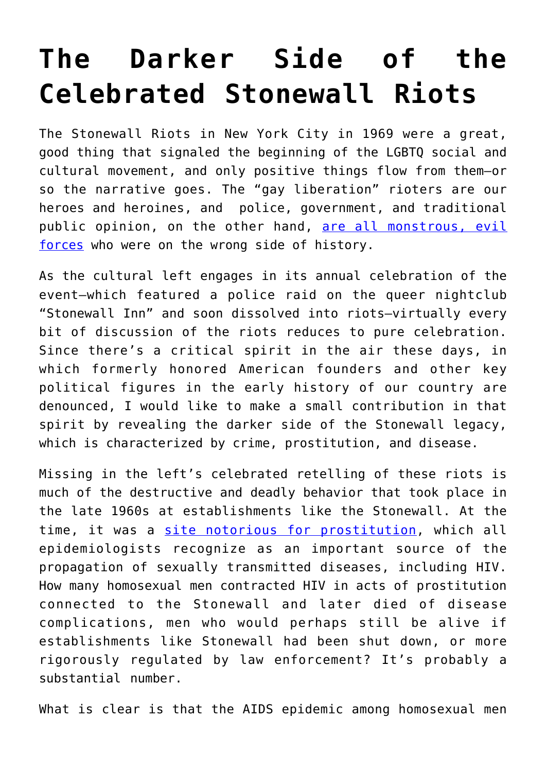## **[The Darker Side of the](https://intellectualtakeout.org/2021/06/the-darker-side-of-the-celebrated-stonewall-riots/) [Celebrated Stonewall Riots](https://intellectualtakeout.org/2021/06/the-darker-side-of-the-celebrated-stonewall-riots/)**

The Stonewall Riots in New York City in 1969 were a great, good thing that signaled the beginning of the LGBTQ social and cultural movement, and only positive things flow from them—or so the narrative goes. The "gay liberation" rioters are our heroes and heroines, and police, government, and traditional public opinion, on the other hand, [are all monstrous, evil](https://historyhustle.com/stonewall-riots/) [forces](https://historyhustle.com/stonewall-riots/) who were on the wrong side of history.

As the cultural left engages in its annual celebration of the event—which featured a police raid on the queer nightclub "Stonewall Inn" and soon dissolved into riots—virtually every bit of discussion of the riots reduces to pure celebration. Since there's a critical spirit in the air these days, in which formerly honored American founders and other key political figures in the early history of our country are denounced, I would like to make a small contribution in that spirit by revealing the darker side of the Stonewall legacy, which is characterized by crime, prostitution, and disease.

Missing in the left's celebrated retelling of these riots is much of the destructive and deadly behavior that took place in the late 1960s at establishments like the Stonewall. At the time, it was a [site notorious for prostitution](https://www.thoughtco.com/stonewall-riots-4776082), which all epidemiologists recognize as an important source of the propagation of sexually transmitted diseases, including HIV. How many homosexual men contracted HIV in acts of prostitution connected to the Stonewall and later died of disease complications, men who would perhaps still be alive if establishments like Stonewall had been shut down, or more rigorously regulated by law enforcement? It's probably a substantial number.

What is clear is that the AIDS epidemic among homosexual men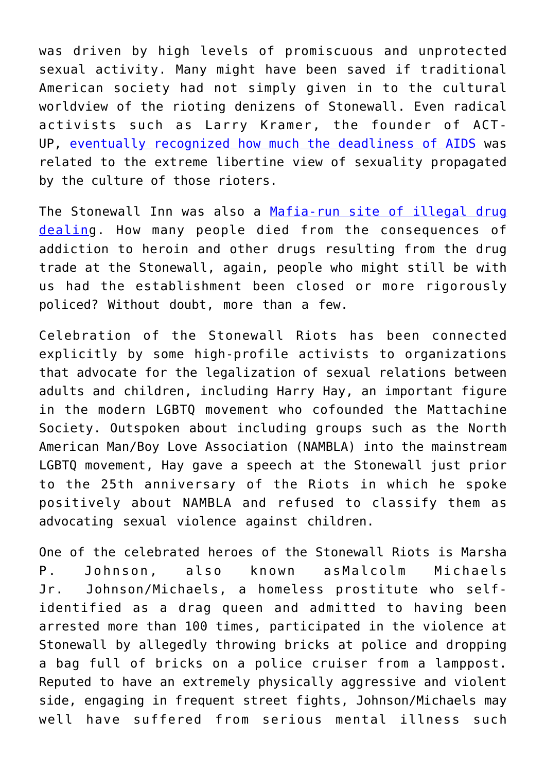was driven by high levels of promiscuous and unprotected sexual activity. Many might have been saved if traditional American society had not simply given in to the cultural worldview of the rioting denizens of Stonewall. Even radical activists such as Larry Kramer, the founder of ACT-UP, [eventually recognized how much the deadliness of AIDS](https://fair.org/extra/sex-panicked/) was related to the extreme libertine view of sexuality propagated by the culture of those rioters.

The Stonewall Inn was also a [Mafia-run site of illegal drug](https://www.thedailybeast.com/how-the-mafia-muscled-in-and-controlled-the-stonewall-inn) [dealing](https://www.thedailybeast.com/how-the-mafia-muscled-in-and-controlled-the-stonewall-inn). How many people died from the consequences of addiction to heroin and other drugs resulting from the drug trade at the Stonewall, again, people who might still be with us had the establishment been closed or more rigorously policed? Without doubt, more than a few.

Celebration of the Stonewall Riots has been connected explicitly by some high-profile activists to organizations that advocate for the legalization of sexual relations between adults and children, including Harry Hay, an important figure in the modern LGBTQ movement who cofounded the Mattachine Society. Outspoken about including groups such as the North American Man/Boy Love Association (NAMBLA) into the mainstream LGBTQ movement, Hay gave a speech at the Stonewall just prior to the 25th anniversary of the Riots in which he spoke positively about NAMBLA and refused to classify them as advocating sexual violence against children.

One of the celebrated heroes of the Stonewall Riots is Marsha P. Johnson, also known asMalcolm Michaels Jr. Johnson/Michaels, a homeless prostitute who selfidentified as a drag queen and admitted to having been arrested more than 100 times, participated in the violence at Stonewall by allegedly throwing bricks at police and dropping a bag full of bricks on a police cruiser from a lamppost. Reputed to have an extremely physically aggressive and violent side, engaging in frequent street fights, Johnson/Michaels may well have suffered from serious mental illness such